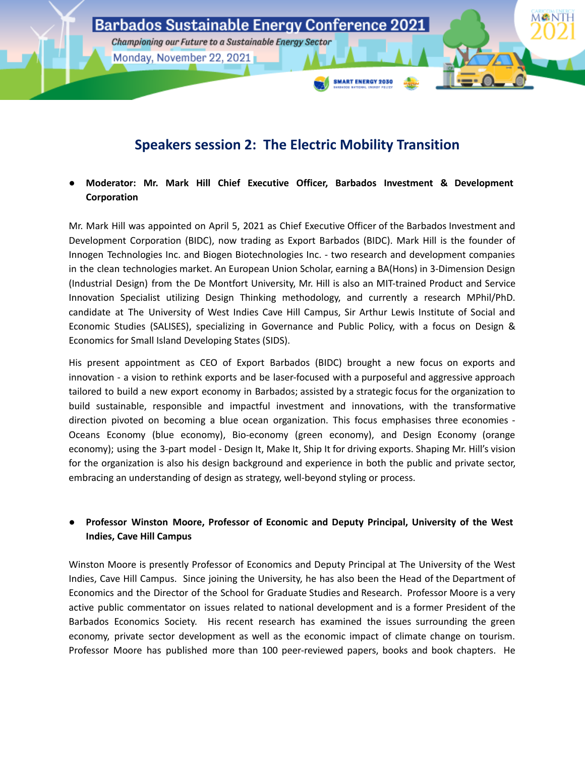

# **Speakers session 2: The Electric Mobility Transition**

**● Moderator: Mr. Mark Hill Chief Executive Officer, Barbados Investment & Development Corporation**

Mr. Mark Hill was appointed on April 5, 2021 as Chief Executive Officer of the Barbados Investment and Development Corporation (BIDC), now trading as Export Barbados (BIDC). Mark Hill is the founder of Innogen Technologies Inc. and Biogen Biotechnologies Inc. - two research and development companies in the clean technologies market. An European Union Scholar, earning a BA(Hons) in 3-Dimension Design (Industrial Design) from the De Montfort University, Mr. Hill is also an MIT-trained Product and Service Innovation Specialist utilizing Design Thinking methodology, and currently a research MPhil/PhD. candidate at The University of West Indies Cave Hill Campus, Sir Arthur Lewis Institute of Social and Economic Studies (SALISES), specializing in Governance and Public Policy, with a focus on Design & Economics for Small Island Developing States (SIDS).

His present appointment as CEO of Export Barbados (BIDC) brought a new focus on exports and innovation - a vision to rethink exports and be laser-focused with a purposeful and aggressive approach tailored to build a new export economy in Barbados; assisted by a strategic focus for the organization to build sustainable, responsible and impactful investment and innovations, with the transformative direction pivoted on becoming a blue ocean organization. This focus emphasises three economies - Oceans Economy (blue economy), Bio-economy (green economy), and Design Economy (orange economy); using the 3-part model - Design It, Make It, Ship It for driving exports. Shaping Mr. Hill's vision for the organization is also his design background and experience in both the public and private sector, embracing an understanding of design as strategy, well-beyond styling or process.

# **● Professor Winston Moore, Professor of Economic and Deputy Principal, University of the West Indies, Cave Hill Campus**

Winston Moore is presently Professor of Economics and Deputy Principal at The University of the West Indies, Cave Hill Campus. Since joining the University, he has also been the Head of the Department of Economics and the Director of the School for Graduate Studies and Research. Professor Moore is a very active public commentator on issues related to national development and is a former President of the Barbados Economics Society. His recent research has examined the issues surrounding the green economy, private sector development as well as the economic impact of climate change on tourism. Professor Moore has published more than 100 peer-reviewed papers, books and book chapters. He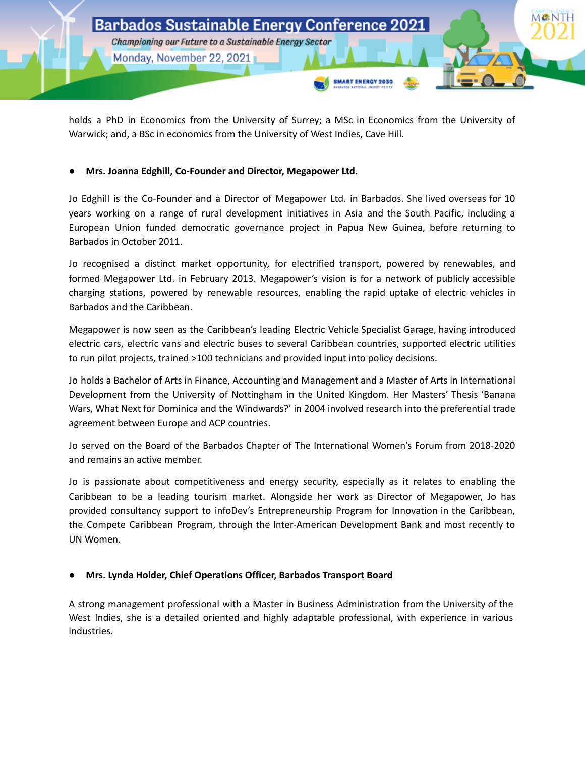

holds a PhD in Economics from the University of Surrey; a MSc in Economics from the University of Warwick; and, a BSc in economics from the University of West Indies, Cave Hill.

## **● Mrs. Joanna Edghill, Co-Founder and Director, Megapower Ltd.**

Jo Edghill is the Co-Founder and a Director of Megapower Ltd. in Barbados. She lived overseas for 10 years working on a range of rural development initiatives in Asia and the South Pacific, including a European Union funded democratic governance project in Papua New Guinea, before returning to Barbados in October 2011.

Jo recognised a distinct market opportunity, for electrified transport, powered by renewables, and formed Megapower Ltd. in February 2013. Megapower's vision is for a network of publicly accessible charging stations, powered by renewable resources, enabling the rapid uptake of electric vehicles in Barbados and the Caribbean.

Megapower is now seen as the Caribbean's leading Electric Vehicle Specialist Garage, having introduced electric cars, electric vans and electric buses to several Caribbean countries, supported electric utilities to run pilot projects, trained >100 technicians and provided input into policy decisions.

Jo holds a Bachelor of Arts in Finance, Accounting and Management and a Master of Arts in International Development from the University of Nottingham in the United Kingdom. Her Masters' Thesis 'Banana Wars, What Next for Dominica and the Windwards?' in 2004 involved research into the preferential trade agreement between Europe and ACP countries.

Jo served on the Board of the Barbados Chapter of The International Women's Forum from 2018-2020 and remains an active member.

Jo is passionate about competitiveness and energy security, especially as it relates to enabling the Caribbean to be a leading tourism market. Alongside her work as Director of Megapower, Jo has provided consultancy support to infoDev's Entrepreneurship Program for Innovation in the Caribbean, the Compete Caribbean Program, through the Inter-American Development Bank and most recently to UN Women.

### **● Mrs. Lynda Holder, Chief Operations Officer, Barbados Transport Board**

A strong management professional with a Master in Business Administration from the University of the West Indies, she is a detailed oriented and highly adaptable professional, with experience in various industries.